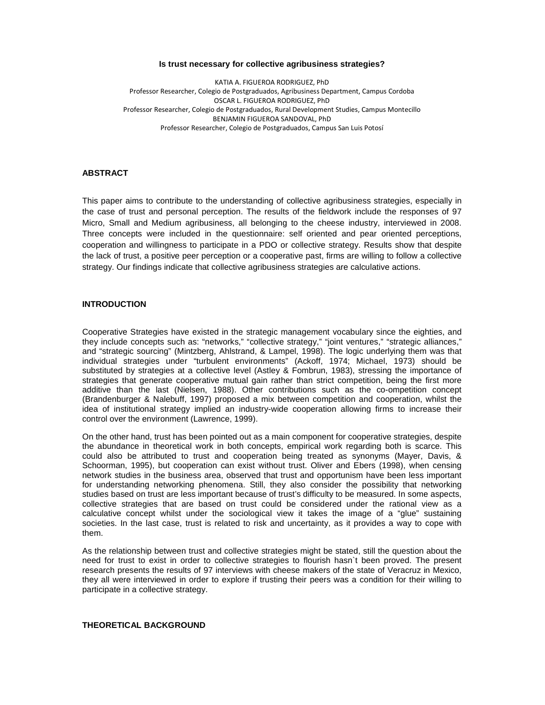### **Is trust necessary for collective agribusiness strategies?**

KATIA A. FIGUEROA RODRIGUEZ, PhD Professor Researcher, Colegio de Postgraduados, Agribusiness Department, Campus Cordoba OSCAR L. FIGUEROA RODRIGUEZ, PhD Professor Researcher, Colegio de Postgraduados, Rural Development Studies, Campus Montecillo BENJAMIN FIGUEROA SANDOVAL, PhD Professor Researcher, Colegio de Postgraduados, Campus San Luis Potosí

## **ABSTRACT**

This paper aims to contribute to the understanding of collective agribusiness strategies, especially in the case of trust and personal perception. The results of the fieldwork include the responses of 97 Micro, Small and Medium agribusiness, all belonging to the cheese industry, interviewed in 2008. Three concepts were included in the questionnaire: self oriented and pear oriented perceptions, cooperation and willingness to participate in a PDO or collective strategy. Results show that despite the lack of trust, a positive peer perception or a cooperative past, firms are willing to follow a collective strategy. Our findings indicate that collective agribusiness strategies are calculative actions.

# **INTRODUCTION**

Cooperative Strategies have existed in the strategic management vocabulary since the eighties, and they include concepts such as: "networks," "collective strategy," "joint ventures," "strategic alliances," and "strategic sourcing" (Mintzberg, Ahlstrand, & Lampel, 1998). The logic underlying them was that individual strategies under "turbulent environments" (Ackoff, 1974; Michael, 1973) should be substituted by strategies at a collective level (Astley & Fombrun, 1983), stressing the importance of strategies that generate cooperative mutual gain rather than strict competition, being the first more additive than the last (Nielsen, 1988). Other contributions such as the co-ompetition concept (Brandenburger & Nalebuff, 1997) proposed a mix between competition and cooperation, whilst the idea of institutional strategy implied an industry-wide cooperation allowing firms to increase their control over the environment (Lawrence, 1999).

On the other hand, trust has been pointed out as a main component for cooperative strategies, despite the abundance in theoretical work in both concepts, empirical work regarding both is scarce. This could also be attributed to trust and cooperation being treated as synonyms (Mayer, Davis, & Schoorman, 1995), but cooperation can exist without trust. Oliver and Ebers (1998), when censing network studies in the business area, observed that trust and opportunism have been less important for understanding networking phenomena. Still, they also consider the possibility that networking studies based on trust are less important because of trust's difficulty to be measured. In some aspects, collective strategies that are based on trust could be considered under the rational view as a calculative concept whilst under the sociological view it takes the image of a "glue" sustaining societies. In the last case, trust is related to risk and uncertainty, as it provides a way to cope with them.

As the relationship between trust and collective strategies might be stated, still the question about the need for trust to exist in order to collective strategies to flourish hasn`t been proved. The present research presents the results of 97 interviews with cheese makers of the state of Veracruz in Mexico, they all were interviewed in order to explore if trusting their peers was a condition for their willing to participate in a collective strategy.

### **THEORETICAL BACKGROUND**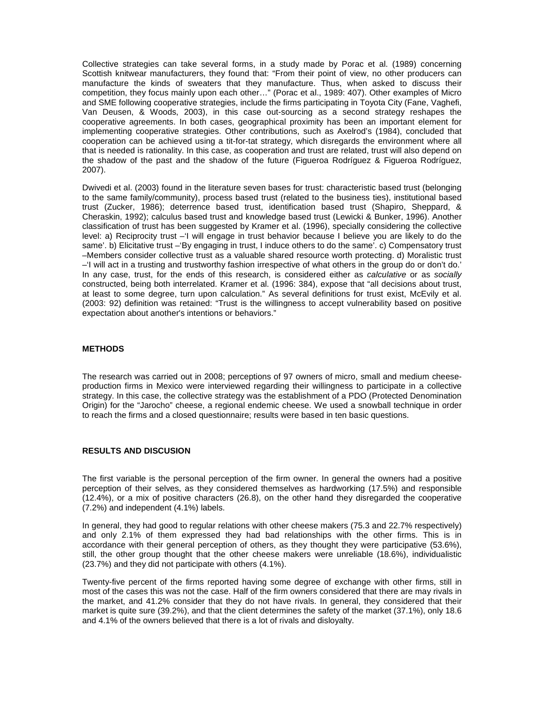Collective strategies can take several forms, in a study made by Porac et al. (1989) concerning Scottish knitwear manufacturers, they found that: "From their point of view, no other producers can manufacture the kinds of sweaters that they manufacture. Thus, when asked to discuss their competition, they focus mainly upon each other…" (Porac et al., 1989: 407). Other examples of Micro and SME following cooperative strategies, include the firms participating in Toyota City (Fane, Vaghefi, Van Deusen, & Woods, 2003), in this case out-sourcing as a second strategy reshapes the cooperative agreements. In both cases, geographical proximity has been an important element for implementing cooperative strategies. Other contributions, such as Axelrod's (1984), concluded that cooperation can be achieved using a tit-for-tat strategy, which disregards the environment where all that is needed is rationality. In this case, as cooperation and trust are related, trust will also depend on the shadow of the past and the shadow of the future (Figueroa Rodríguez & Figueroa Rodríguez, 2007).

Dwivedi et al. (2003) found in the literature seven bases for trust: characteristic based trust (belonging to the same family/community), process based trust (related to the business ties), institutional based trust (Zucker, 1986); deterrence based trust, identification based trust (Shapiro, Sheppard, & Cheraskin, 1992); calculus based trust and knowledge based trust (Lewicki & Bunker, 1996). Another classification of trust has been suggested by Kramer et al. (1996), specially considering the collective level: a) Reciprocity trust –'I will engage in trust behavior because I believe you are likely to do the same'. b) Elicitative trust –'By engaging in trust, I induce others to do the same'. c) Compensatory trust –Members consider collective trust as a valuable shared resource worth protecting. d) Moralistic trust –'I will act in a trusting and trustworthy fashion irrespective of what others in the group do or don't do.' In any case, trust, for the ends of this research, is considered either as calculative or as socially constructed, being both interrelated. Kramer et al. (1996: 384), expose that "all decisions about trust, at least to some degree, turn upon calculation." As several definitions for trust exist, McEvily et al. (2003: 92) definition was retained: "Trust is the willingness to accept vulnerability based on positive expectation about another's intentions or behaviors."

## **METHODS**

The research was carried out in 2008; perceptions of 97 owners of micro, small and medium cheeseproduction firms in Mexico were interviewed regarding their willingness to participate in a collective strategy. In this case, the collective strategy was the establishment of a PDO (Protected Denomination Origin) for the "Jarocho" cheese, a regional endemic cheese. We used a snowball technique in order to reach the firms and a closed questionnaire; results were based in ten basic questions.

### **RESULTS AND DISCUSION**

The first variable is the personal perception of the firm owner. In general the owners had a positive perception of their selves, as they considered themselves as hardworking (17.5%) and responsible (12.4%), or a mix of positive characters (26.8), on the other hand they disregarded the cooperative (7.2%) and independent (4.1%) labels.

In general, they had good to regular relations with other cheese makers (75.3 and 22.7% respectively) and only 2.1% of them expressed they had bad relationships with the other firms. This is in accordance with their general perception of others, as they thought they were participative (53.6%), still, the other group thought that the other cheese makers were unreliable (18.6%), individualistic (23.7%) and they did not participate with others (4.1%).

Twenty-five percent of the firms reported having some degree of exchange with other firms, still in most of the cases this was not the case. Half of the firm owners considered that there are may rivals in the market, and 41.2% consider that they do not have rivals. In general, they considered that their market is quite sure (39.2%), and that the client determines the safety of the market (37.1%), only 18.6 and 4.1% of the owners believed that there is a lot of rivals and disloyalty.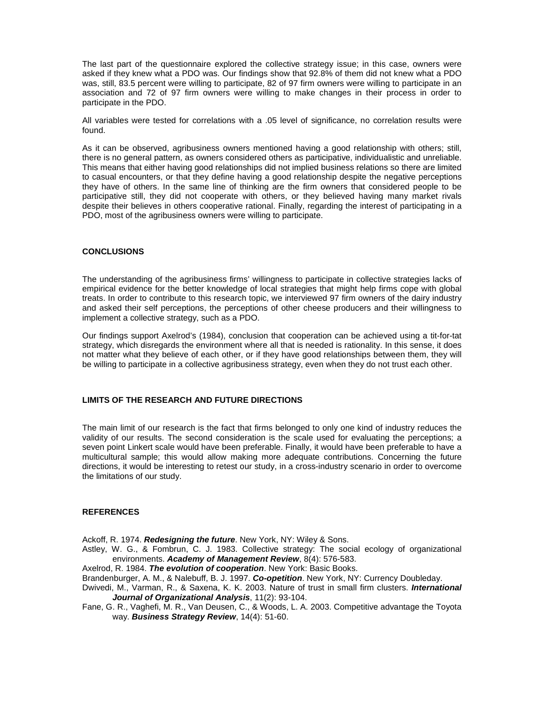The last part of the questionnaire explored the collective strategy issue; in this case, owners were asked if they knew what a PDO was. Our findings show that 92.8% of them did not knew what a PDO was, still, 83.5 percent were willing to participate, 82 of 97 firm owners were willing to participate in an association and 72 of 97 firm owners were willing to make changes in their process in order to participate in the PDO.

All variables were tested for correlations with a .05 level of significance, no correlation results were found.

As it can be observed, agribusiness owners mentioned having a good relationship with others; still, there is no general pattern, as owners considered others as participative, individualistic and unreliable. This means that either having good relationships did not implied business relations so there are limited to casual encounters, or that they define having a good relationship despite the negative perceptions they have of others. In the same line of thinking are the firm owners that considered people to be participative still, they did not cooperate with others, or they believed having many market rivals despite their believes in others cooperative rational. Finally, regarding the interest of participating in a PDO, most of the agribusiness owners were willing to participate.

### **CONCLUSIONS**

The understanding of the agribusiness firms' willingness to participate in collective strategies lacks of empirical evidence for the better knowledge of local strategies that might help firms cope with global treats. In order to contribute to this research topic, we interviewed 97 firm owners of the dairy industry and asked their self perceptions, the perceptions of other cheese producers and their willingness to implement a collective strategy, such as a PDO.

Our findings support Axelrod's (1984), conclusion that cooperation can be achieved using a tit-for-tat strategy, which disregards the environment where all that is needed is rationality. In this sense, it does not matter what they believe of each other, or if they have good relationships between them, they will be willing to participate in a collective agribusiness strategy, even when they do not trust each other.

# **LIMITS OF THE RESEARCH AND FUTURE DIRECTIONS**

The main limit of our research is the fact that firms belonged to only one kind of industry reduces the validity of our results. The second consideration is the scale used for evaluating the perceptions; a seven point Linkert scale would have been preferable. Finally, it would have been preferable to have a multicultural sample; this would allow making more adequate contributions. Concerning the future directions, it would be interesting to retest our study, in a cross-industry scenario in order to overcome the limitations of our study.

#### **REFERENCES**

Ackoff, R. 1974. **Redesigning the future**. New York, NY: Wiley & Sons.

- Astley, W. G., & Fombrun, C. J. 1983. Collective strategy: The social ecology of organizational environments. **Academy of Management Review**, 8(4): 576-583.
- Axelrod, R. 1984. **The evolution of cooperation**. New York: Basic Books.

Brandenburger, A. M., & Nalebuff, B. J. 1997. **Co-opetition**. New York, NY: Currency Doubleday.

- Dwivedi, M., Varman, R., & Saxena, K. K. 2003. Nature of trust in small firm clusters. **International Journal of Organizational Analysis**, 11(2): 93-104.
- Fane, G. R., Vaghefi, M. R., Van Deusen, C., & Woods, L. A. 2003. Competitive advantage the Toyota way. **Business Strategy Review**, 14(4): 51-60.